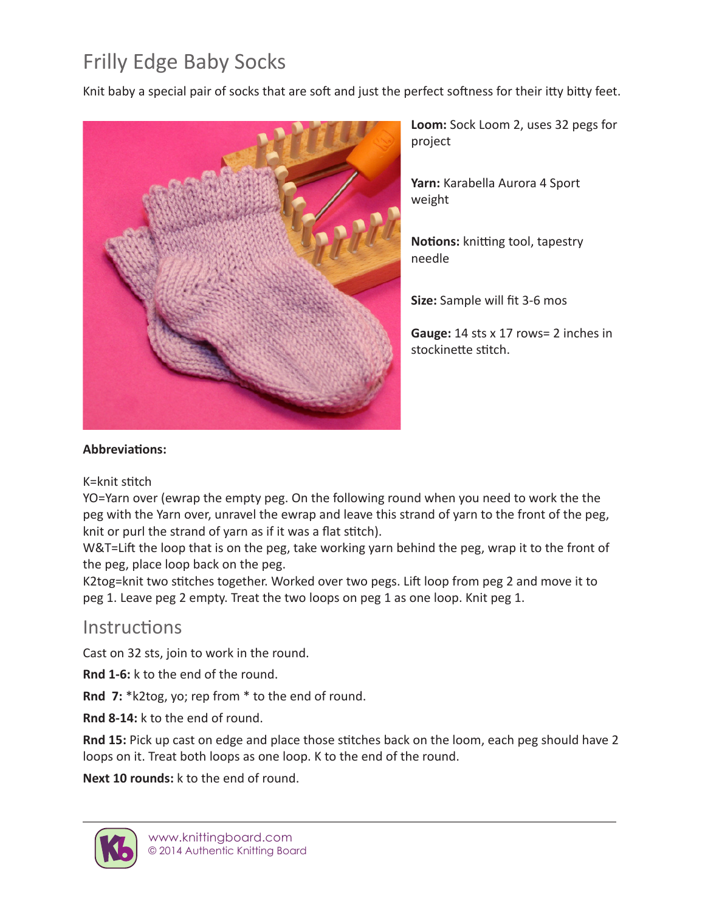## Frilly Edge Baby Socks

Knit baby a special pair of socks that are soft and just the perfect softness for their itty bitty feet.



**Loom:** Sock Loom 2, uses 32 pegs for project

**Yarn:** Karabella Aurora 4 Sport weight

**Notions:** knitting tool, tapestry needle

**Size:** Sample will fit 3-6 mos

**Gauge:** 14 sts x 17 rows= 2 inches in stockinette stitch.

## **Abbreviations:**

## K=knit stitch

YO=Yarn over (ewrap the empty peg. On the following round when you need to work the the peg with the Yarn over, unravel the ewrap and leave this strand of yarn to the front of the peg, knit or purl the strand of yarn as if it was a flat stitch).

W&T=Lift the loop that is on the peg, take working yarn behind the peg, wrap it to the front of the peg, place loop back on the peg.

K2tog=knit two stitches together. Worked over two pegs. Lift loop from peg 2 and move it to peg 1. Leave peg 2 empty. Treat the two loops on peg 1 as one loop. Knit peg 1.

## **Instructions**

Cast on 32 sts, join to work in the round.

**Rnd 1-6:** k to the end of the round.

**Rnd 7:** \*k2tog, yo; rep from \* to the end of round.

**Rnd 8-14:** k to the end of round.

**Rnd 15:** Pick up cast on edge and place those stitches back on the loom, each peg should have 2 loops on it. Treat both loops as one loop. K to the end of the round.

**Next 10 rounds:** k to the end of round.